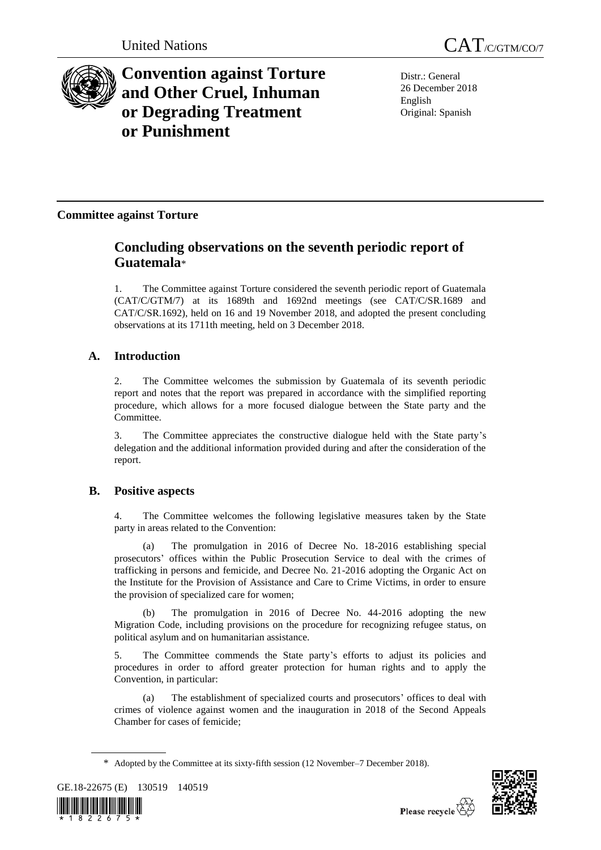

# **Convention against Torture and Other Cruel, Inhuman or Degrading Treatment or Punishment**

Distr.: General 26 December 2018 English Original: Spanish

## **Committee against Torture**

## **Concluding observations on the seventh periodic report of Guatemala**\*

1. The Committee against Torture considered the seventh periodic report of Guatemala (CAT/C/GTM/7) at its 1689th and 1692nd meetings (see CAT/C/SR.1689 and CAT/C/SR.1692), held on 16 and 19 November 2018, and adopted the present concluding observations at its 1711th meeting, held on 3 December 2018.

## **A. Introduction**

2. The Committee welcomes the submission by Guatemala of its seventh periodic report and notes that the report was prepared in accordance with the simplified reporting procedure, which allows for a more focused dialogue between the State party and the Committee.

3. The Committee appreciates the constructive dialogue held with the State party's delegation and the additional information provided during and after the consideration of the report.

## **B. Positive aspects**

4. The Committee welcomes the following legislative measures taken by the State party in areas related to the Convention:

(a) The promulgation in 2016 of Decree No. 18-2016 establishing special prosecutors' offices within the Public Prosecution Service to deal with the crimes of trafficking in persons and femicide, and Decree No. 21-2016 adopting the Organic Act on the Institute for the Provision of Assistance and Care to Crime Victims, in order to ensure the provision of specialized care for women;

(b) The promulgation in 2016 of Decree No. 44-2016 adopting the new Migration Code, including provisions on the procedure for recognizing refugee status, on political asylum and on humanitarian assistance.

5. The Committee commends the State party's efforts to adjust its policies and procedures in order to afford greater protection for human rights and to apply the Convention, in particular:

(a) The establishment of specialized courts and prosecutors' offices to deal with crimes of violence against women and the inauguration in 2018 of the Second Appeals Chamber for cases of femicide;

<sup>\*</sup> Adopted by the Committee at its sixty-fifth session (12 November–7 December 2018).





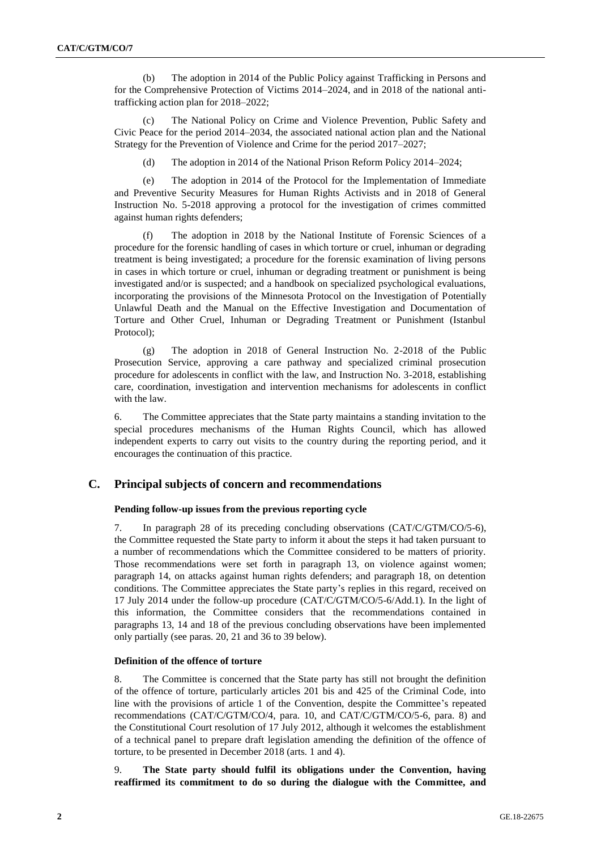(b) The adoption in 2014 of the Public Policy against Trafficking in Persons and for the Comprehensive Protection of Victims 2014–2024, and in 2018 of the national antitrafficking action plan for 2018–2022;

(c) The National Policy on Crime and Violence Prevention, Public Safety and Civic Peace for the period 2014–2034, the associated national action plan and the National Strategy for the Prevention of Violence and Crime for the period 2017–2027;

(d) The adoption in 2014 of the National Prison Reform Policy 2014–2024;

(e) The adoption in 2014 of the Protocol for the Implementation of Immediate and Preventive Security Measures for Human Rights Activists and in 2018 of General Instruction No. 5-2018 approving a protocol for the investigation of crimes committed against human rights defenders;

(f) The adoption in 2018 by the National Institute of Forensic Sciences of a procedure for the forensic handling of cases in which torture or cruel, inhuman or degrading treatment is being investigated; a procedure for the forensic examination of living persons in cases in which torture or cruel, inhuman or degrading treatment or punishment is being investigated and/or is suspected; and a handbook on specialized psychological evaluations, incorporating the provisions of the Minnesota Protocol on the Investigation of Potentially Unlawful Death and the Manual on the Effective Investigation and Documentation of Torture and Other Cruel, Inhuman or Degrading Treatment or Punishment (Istanbul Protocol);

(g) The adoption in 2018 of General Instruction No. 2-2018 of the Public Prosecution Service, approving a care pathway and specialized criminal prosecution procedure for adolescents in conflict with the law, and Instruction No. 3-2018, establishing care, coordination, investigation and intervention mechanisms for adolescents in conflict with the law.

6. The Committee appreciates that the State party maintains a standing invitation to the special procedures mechanisms of the Human Rights Council, which has allowed independent experts to carry out visits to the country during the reporting period, and it encourages the continuation of this practice.

## **C. Principal subjects of concern and recommendations**

## **Pending follow-up issues from the previous reporting cycle**

7. In paragraph 28 of its preceding concluding observations (CAT/C/GTM/CO/5-6), the Committee requested the State party to inform it about the steps it had taken pursuant to a number of recommendations which the Committee considered to be matters of priority. Those recommendations were set forth in paragraph 13, on violence against women; paragraph 14, on attacks against human rights defenders; and paragraph 18, on detention conditions. The Committee appreciates the State party's replies in this regard, received on 17 July 2014 under the follow-up procedure (CAT/C/GTM/CO/5-6/Add.1). In the light of this information, the Committee considers that the recommendations contained in paragraphs 13, 14 and 18 of the previous concluding observations have been implemented only partially (see paras. 20, 21 and 36 to 39 below).

## **Definition of the offence of torture**

8. The Committee is concerned that the State party has still not brought the definition of the offence of torture, particularly articles 201 bis and 425 of the Criminal Code, into line with the provisions of article 1 of the Convention, despite the Committee's repeated recommendations (CAT/C/GTM/CO/4, para. 10, and CAT/C/GTM/CO/5-6, para. 8) and the Constitutional Court resolution of 17 July 2012, although it welcomes the establishment of a technical panel to prepare draft legislation amending the definition of the offence of torture, to be presented in December 2018 (arts. 1 and 4).

9. **The State party should fulfil its obligations under the Convention, having reaffirmed its commitment to do so during the dialogue with the Committee, and**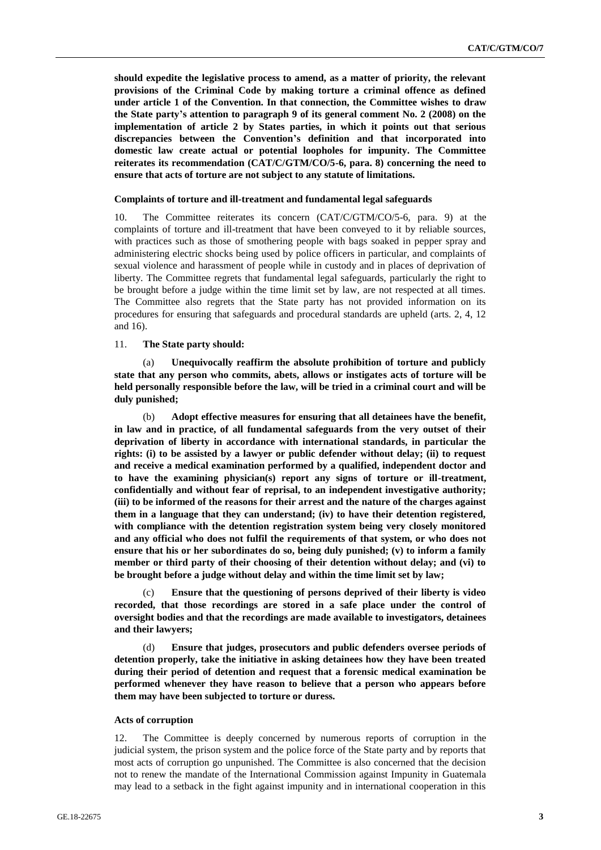**should expedite the legislative process to amend, as a matter of priority, the relevant provisions of the Criminal Code by making torture a criminal offence as defined under article 1 of the Convention. In that connection, the Committee wishes to draw the State party's attention to paragraph 9 of its general comment No. 2 (2008) on the implementation of article 2 by States parties, in which it points out that serious discrepancies between the Convention's definition and that incorporated into domestic law create actual or potential loopholes for impunity. The Committee reiterates its recommendation (CAT/C/GTM/CO/5-6, para. 8) concerning the need to ensure that acts of torture are not subject to any statute of limitations.**

#### **Complaints of torture and ill-treatment and fundamental legal safeguards**

10. The Committee reiterates its concern (CAT/C/GTM/CO/5-6, para. 9) at the complaints of torture and ill-treatment that have been conveyed to it by reliable sources, with practices such as those of smothering people with bags soaked in pepper spray and administering electric shocks being used by police officers in particular, and complaints of sexual violence and harassment of people while in custody and in places of deprivation of liberty. The Committee regrets that fundamental legal safeguards, particularly the right to be brought before a judge within the time limit set by law, are not respected at all times. The Committee also regrets that the State party has not provided information on its procedures for ensuring that safeguards and procedural standards are upheld (arts. 2, 4, 12 and 16).

### 11. **The State party should:**

Unequivocally reaffirm the absolute prohibition of torture and publicly **state that any person who commits, abets, allows or instigates acts of torture will be held personally responsible before the law, will be tried in a criminal court and will be duly punished;**

(b) **Adopt effective measures for ensuring that all detainees have the benefit, in law and in practice, of all fundamental safeguards from the very outset of their deprivation of liberty in accordance with international standards, in particular the rights: (i) to be assisted by a lawyer or public defender without delay; (ii) to request and receive a medical examination performed by a qualified, independent doctor and to have the examining physician(s) report any signs of torture or ill-treatment, confidentially and without fear of reprisal, to an independent investigative authority; (iii) to be informed of the reasons for their arrest and the nature of the charges against them in a language that they can understand; (iv) to have their detention registered, with compliance with the detention registration system being very closely monitored and any official who does not fulfil the requirements of that system, or who does not ensure that his or her subordinates do so, being duly punished; (v) to inform a family member or third party of their choosing of their detention without delay; and (vi) to be brought before a judge without delay and within the time limit set by law;**

(c) **Ensure that the questioning of persons deprived of their liberty is video recorded, that those recordings are stored in a safe place under the control of oversight bodies and that the recordings are made available to investigators, detainees and their lawyers;**

(d) **Ensure that judges, prosecutors and public defenders oversee periods of detention properly, take the initiative in asking detainees how they have been treated during their period of detention and request that a forensic medical examination be performed whenever they have reason to believe that a person who appears before them may have been subjected to torture or duress.**

#### **Acts of corruption**

12. The Committee is deeply concerned by numerous reports of corruption in the judicial system, the prison system and the police force of the State party and by reports that most acts of corruption go unpunished. The Committee is also concerned that the decision not to renew the mandate of the International Commission against Impunity in Guatemala may lead to a setback in the fight against impunity and in international cooperation in this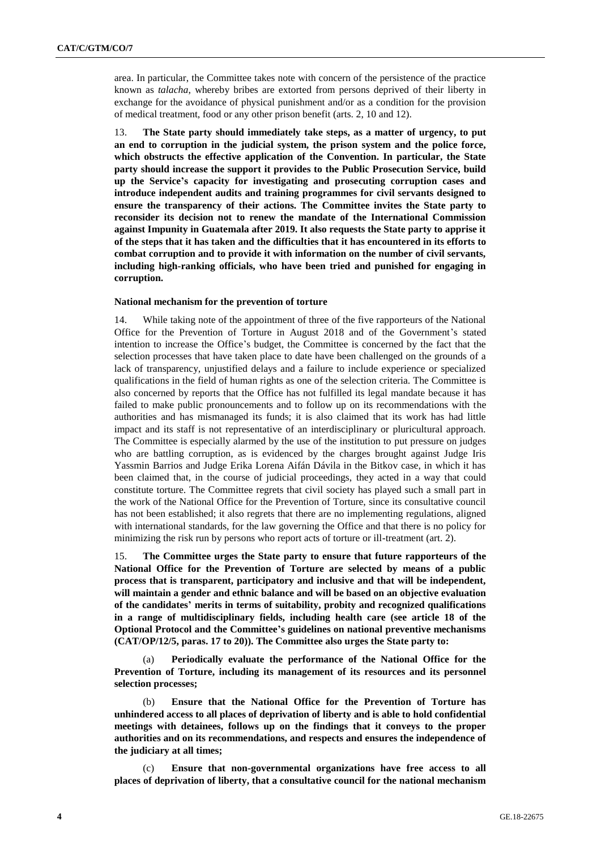area. In particular, the Committee takes note with concern of the persistence of the practice known as *talacha*, whereby bribes are extorted from persons deprived of their liberty in exchange for the avoidance of physical punishment and/or as a condition for the provision of medical treatment, food or any other prison benefit (arts. 2, 10 and 12).

13. **The State party should immediately take steps, as a matter of urgency, to put an end to corruption in the judicial system, the prison system and the police force, which obstructs the effective application of the Convention. In particular, the State party should increase the support it provides to the Public Prosecution Service, build up the Service's capacity for investigating and prosecuting corruption cases and introduce independent audits and training programmes for civil servants designed to ensure the transparency of their actions. The Committee invites the State party to reconsider its decision not to renew the mandate of the International Commission against Impunity in Guatemala after 2019. It also requests the State party to apprise it of the steps that it has taken and the difficulties that it has encountered in its efforts to combat corruption and to provide it with information on the number of civil servants, including high-ranking officials, who have been tried and punished for engaging in corruption.**

#### **National mechanism for the prevention of torture**

14. While taking note of the appointment of three of the five rapporteurs of the National Office for the Prevention of Torture in August 2018 and of the Government's stated intention to increase the Office's budget, the Committee is concerned by the fact that the selection processes that have taken place to date have been challenged on the grounds of a lack of transparency, unjustified delays and a failure to include experience or specialized qualifications in the field of human rights as one of the selection criteria. The Committee is also concerned by reports that the Office has not fulfilled its legal mandate because it has failed to make public pronouncements and to follow up on its recommendations with the authorities and has mismanaged its funds; it is also claimed that its work has had little impact and its staff is not representative of an interdisciplinary or pluricultural approach. The Committee is especially alarmed by the use of the institution to put pressure on judges who are battling corruption, as is evidenced by the charges brought against Judge Iris Yassmin Barrios and Judge Erika Lorena Aifán Dávila in the Bitkov case, in which it has been claimed that, in the course of judicial proceedings, they acted in a way that could constitute torture. The Committee regrets that civil society has played such a small part in the work of the National Office for the Prevention of Torture, since its consultative council has not been established; it also regrets that there are no implementing regulations, aligned with international standards, for the law governing the Office and that there is no policy for minimizing the risk run by persons who report acts of torture or ill-treatment (art. 2).

15. **The Committee urges the State party to ensure that future rapporteurs of the National Office for the Prevention of Torture are selected by means of a public process that is transparent, participatory and inclusive and that will be independent, will maintain a gender and ethnic balance and will be based on an objective evaluation of the candidates' merits in terms of suitability, probity and recognized qualifications in a range of multidisciplinary fields, including health care (see article 18 of the Optional Protocol and the Committee's guidelines on national preventive mechanisms (CAT/OP/12/5, paras. 17 to 20)). The Committee also urges the State party to:**

(a) **Periodically evaluate the performance of the National Office for the Prevention of Torture, including its management of its resources and its personnel selection processes;**

(b) **Ensure that the National Office for the Prevention of Torture has unhindered access to all places of deprivation of liberty and is able to hold confidential meetings with detainees, follows up on the findings that it conveys to the proper authorities and on its recommendations, and respects and ensures the independence of the judiciary at all times;**

(c) **Ensure that non-governmental organizations have free access to all places of deprivation of liberty, that a consultative council for the national mechanism**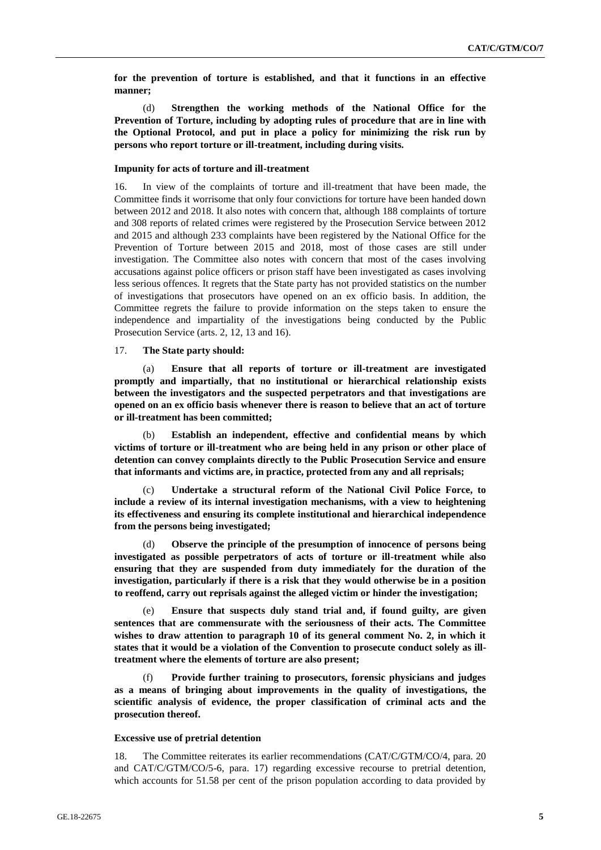**for the prevention of torture is established, and that it functions in an effective manner;**

(d) **Strengthen the working methods of the National Office for the Prevention of Torture, including by adopting rules of procedure that are in line with the Optional Protocol, and put in place a policy for minimizing the risk run by persons who report torture or ill-treatment, including during visits.**

#### **Impunity for acts of torture and ill-treatment**

16. In view of the complaints of torture and ill-treatment that have been made, the Committee finds it worrisome that only four convictions for torture have been handed down between 2012 and 2018. It also notes with concern that, although 188 complaints of torture and 308 reports of related crimes were registered by the Prosecution Service between 2012 and 2015 and although 233 complaints have been registered by the National Office for the Prevention of Torture between 2015 and 2018, most of those cases are still under investigation. The Committee also notes with concern that most of the cases involving accusations against police officers or prison staff have been investigated as cases involving less serious offences. It regrets that the State party has not provided statistics on the number of investigations that prosecutors have opened on an ex officio basis. In addition, the Committee regrets the failure to provide information on the steps taken to ensure the independence and impartiality of the investigations being conducted by the Public Prosecution Service (arts. 2, 12, 13 and 16).

#### 17. **The State party should:**

(a) **Ensure that all reports of torture or ill-treatment are investigated promptly and impartially, that no institutional or hierarchical relationship exists between the investigators and the suspected perpetrators and that investigations are opened on an ex officio basis whenever there is reason to believe that an act of torture or ill-treatment has been committed;**

(b) **Establish an independent, effective and confidential means by which victims of torture or ill-treatment who are being held in any prison or other place of detention can convey complaints directly to the Public Prosecution Service and ensure that informants and victims are, in practice, protected from any and all reprisals;** 

Undertake a structural reform of the National Civil Police Force, to **include a review of its internal investigation mechanisms, with a view to heightening its effectiveness and ensuring its complete institutional and hierarchical independence from the persons being investigated;**

(d) **Observe the principle of the presumption of innocence of persons being investigated as possible perpetrators of acts of torture or ill-treatment while also ensuring that they are suspended from duty immediately for the duration of the investigation, particularly if there is a risk that they would otherwise be in a position to reoffend, carry out reprisals against the alleged victim or hinder the investigation;**

Ensure that suspects duly stand trial and, if found guilty, are given **sentences that are commensurate with the seriousness of their acts. The Committee wishes to draw attention to paragraph 10 of its general comment No. 2, in which it states that it would be a violation of the Convention to prosecute conduct solely as illtreatment where the elements of torture are also present;**

(f) **Provide further training to prosecutors, forensic physicians and judges as a means of bringing about improvements in the quality of investigations, the scientific analysis of evidence, the proper classification of criminal acts and the prosecution thereof.**

#### **Excessive use of pretrial detention**

18. The Committee reiterates its earlier recommendations (CAT/C/GTM/CO/4, para. 20 and CAT/C/GTM/CO/5-6, para. 17) regarding excessive recourse to pretrial detention, which accounts for 51.58 per cent of the prison population according to data provided by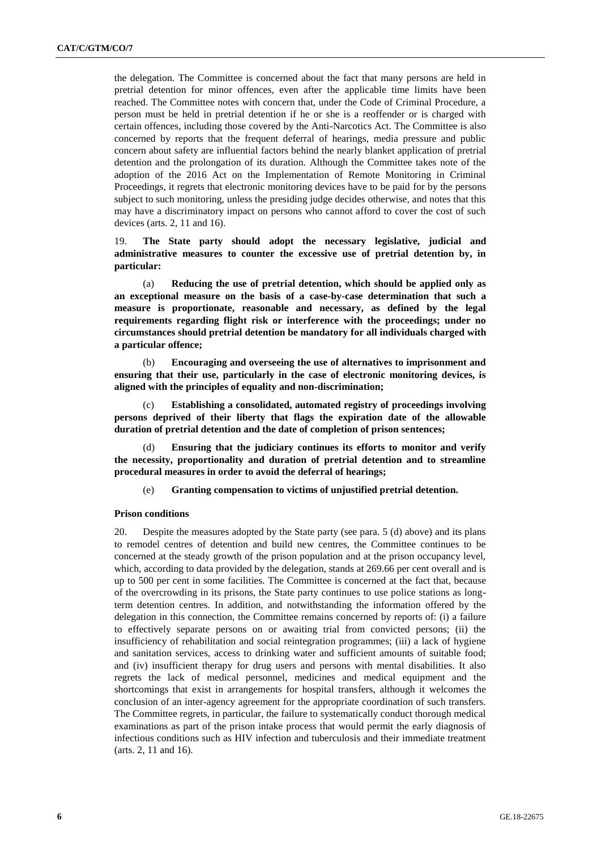the delegation. The Committee is concerned about the fact that many persons are held in pretrial detention for minor offences, even after the applicable time limits have been reached. The Committee notes with concern that, under the Code of Criminal Procedure, a person must be held in pretrial detention if he or she is a reoffender or is charged with certain offences, including those covered by the Anti-Narcotics Act. The Committee is also concerned by reports that the frequent deferral of hearings, media pressure and public concern about safety are influential factors behind the nearly blanket application of pretrial detention and the prolongation of its duration. Although the Committee takes note of the adoption of the 2016 Act on the Implementation of Remote Monitoring in Criminal Proceedings, it regrets that electronic monitoring devices have to be paid for by the persons subject to such monitoring, unless the presiding judge decides otherwise, and notes that this may have a discriminatory impact on persons who cannot afford to cover the cost of such devices (arts. 2, 11 and 16).

19. **The State party should adopt the necessary legislative, judicial and administrative measures to counter the excessive use of pretrial detention by, in particular:**

(a) **Reducing the use of pretrial detention, which should be applied only as an exceptional measure on the basis of a case-by-case determination that such a measure is proportionate, reasonable and necessary, as defined by the legal requirements regarding flight risk or interference with the proceedings; under no circumstances should pretrial detention be mandatory for all individuals charged with a particular offence;**

(b) **Encouraging and overseeing the use of alternatives to imprisonment and ensuring that their use, particularly in the case of electronic monitoring devices, is aligned with the principles of equality and non-discrimination;** 

**Establishing a consolidated, automated registry of proceedings involving persons deprived of their liberty that flags the expiration date of the allowable duration of pretrial detention and the date of completion of prison sentences;** 

Ensuring that the judiciary continues its efforts to monitor and verify **the necessity, proportionality and duration of pretrial detention and to streamline procedural measures in order to avoid the deferral of hearings;**

(e) **Granting compensation to victims of unjustified pretrial detention.**

#### **Prison conditions**

20. Despite the measures adopted by the State party (see para. 5 (d) above) and its plans to remodel centres of detention and build new centres, the Committee continues to be concerned at the steady growth of the prison population and at the prison occupancy level, which, according to data provided by the delegation, stands at 269.66 per cent overall and is up to 500 per cent in some facilities. The Committee is concerned at the fact that, because of the overcrowding in its prisons, the State party continues to use police stations as longterm detention centres. In addition, and notwithstanding the information offered by the delegation in this connection, the Committee remains concerned by reports of: (i) a failure to effectively separate persons on or awaiting trial from convicted persons; (ii) the insufficiency of rehabilitation and social reintegration programmes; (iii) a lack of hygiene and sanitation services, access to drinking water and sufficient amounts of suitable food; and (iv) insufficient therapy for drug users and persons with mental disabilities. It also regrets the lack of medical personnel, medicines and medical equipment and the shortcomings that exist in arrangements for hospital transfers, although it welcomes the conclusion of an inter-agency agreement for the appropriate coordination of such transfers. The Committee regrets, in particular, the failure to systematically conduct thorough medical examinations as part of the prison intake process that would permit the early diagnosis of infectious conditions such as HIV infection and tuberculosis and their immediate treatment (arts. 2, 11 and 16).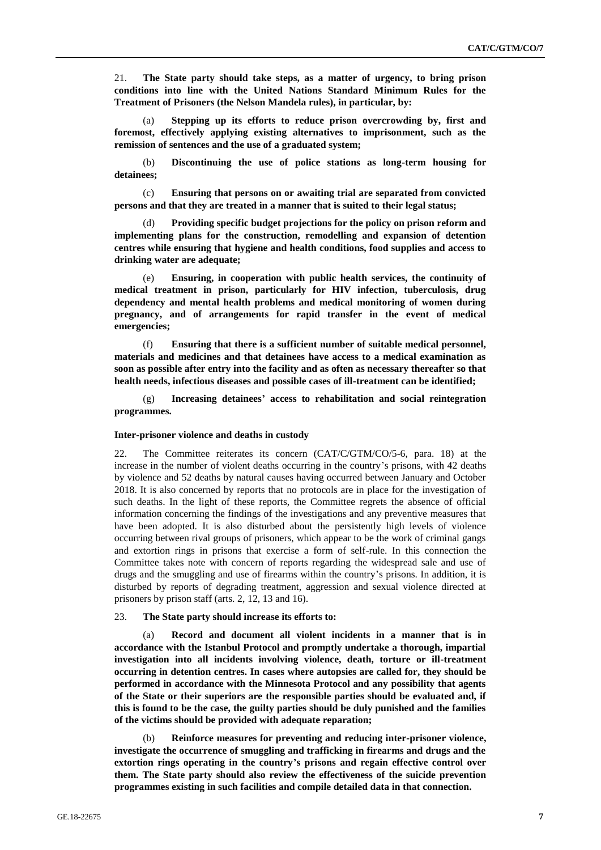21. **The State party should take steps, as a matter of urgency, to bring prison conditions into line with the United Nations Standard Minimum Rules for the Treatment of Prisoners (the Nelson Mandela rules), in particular, by:**

(a) **Stepping up its efforts to reduce prison overcrowding by, first and foremost, effectively applying existing alternatives to imprisonment, such as the remission of sentences and the use of a graduated system;**

(b) **Discontinuing the use of police stations as long-term housing for detainees;** 

(c) **Ensuring that persons on or awaiting trial are separated from convicted persons and that they are treated in a manner that is suited to their legal status;** 

(d) **Providing specific budget projections for the policy on prison reform and implementing plans for the construction, remodelling and expansion of detention centres while ensuring that hygiene and health conditions, food supplies and access to drinking water are adequate;**

(e) **Ensuring, in cooperation with public health services, the continuity of medical treatment in prison, particularly for HIV infection, tuberculosis, drug dependency and mental health problems and medical monitoring of women during pregnancy, and of arrangements for rapid transfer in the event of medical emergencies;**

(f) **Ensuring that there is a sufficient number of suitable medical personnel, materials and medicines and that detainees have access to a medical examination as soon as possible after entry into the facility and as often as necessary thereafter so that health needs, infectious diseases and possible cases of ill-treatment can be identified;** 

(g) **Increasing detainees' access to rehabilitation and social reintegration programmes.**

#### **Inter-prisoner violence and deaths in custody**

22. The Committee reiterates its concern (CAT/C/GTM/CO/5-6, para. 18) at the increase in the number of violent deaths occurring in the country's prisons, with 42 deaths by violence and 52 deaths by natural causes having occurred between January and October 2018. It is also concerned by reports that no protocols are in place for the investigation of such deaths. In the light of these reports, the Committee regrets the absence of official information concerning the findings of the investigations and any preventive measures that have been adopted. It is also disturbed about the persistently high levels of violence occurring between rival groups of prisoners, which appear to be the work of criminal gangs and extortion rings in prisons that exercise a form of self-rule. In this connection the Committee takes note with concern of reports regarding the widespread sale and use of drugs and the smuggling and use of firearms within the country's prisons. In addition, it is disturbed by reports of degrading treatment, aggression and sexual violence directed at prisoners by prison staff (arts. 2, 12, 13 and 16).

#### 23. **The State party should increase its efforts to:**

(a) **Record and document all violent incidents in a manner that is in accordance with the Istanbul Protocol and promptly undertake a thorough, impartial investigation into all incidents involving violence, death, torture or ill-treatment occurring in detention centres. In cases where autopsies are called for, they should be performed in accordance with the Minnesota Protocol and any possibility that agents of the State or their superiors are the responsible parties should be evaluated and, if this is found to be the case, the guilty parties should be duly punished and the families of the victims should be provided with adequate reparation;**

(b) **Reinforce measures for preventing and reducing inter-prisoner violence, investigate the occurrence of smuggling and trafficking in firearms and drugs and the extortion rings operating in the country's prisons and regain effective control over them. The State party should also review the effectiveness of the suicide prevention programmes existing in such facilities and compile detailed data in that connection.**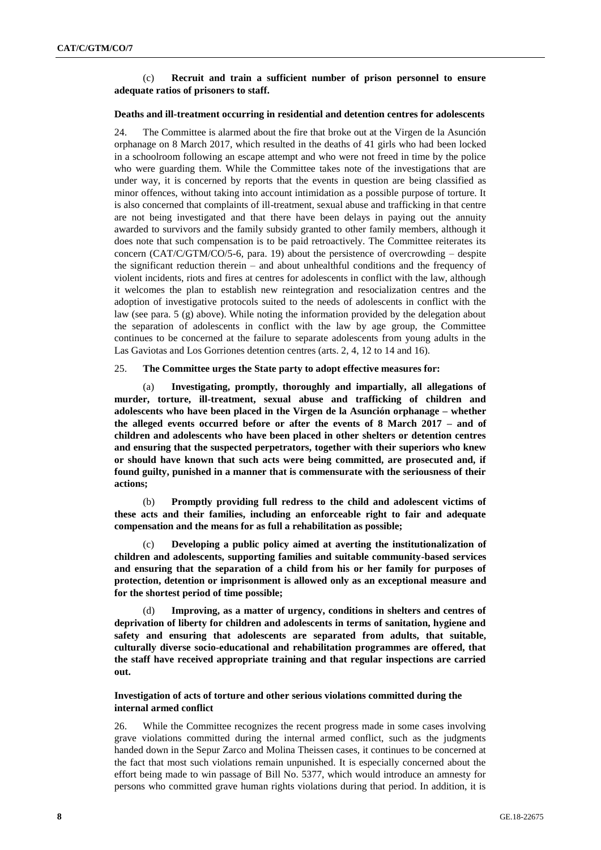## (c) **Recruit and train a sufficient number of prison personnel to ensure adequate ratios of prisoners to staff.**

#### **Deaths and ill-treatment occurring in residential and detention centres for adolescents**

24. The Committee is alarmed about the fire that broke out at the Virgen de la Asunción orphanage on 8 March 2017, which resulted in the deaths of 41 girls who had been locked in a schoolroom following an escape attempt and who were not freed in time by the police who were guarding them. While the Committee takes note of the investigations that are under way, it is concerned by reports that the events in question are being classified as minor offences, without taking into account intimidation as a possible purpose of torture. It is also concerned that complaints of ill-treatment, sexual abuse and trafficking in that centre are not being investigated and that there have been delays in paying out the annuity awarded to survivors and the family subsidy granted to other family members, although it does note that such compensation is to be paid retroactively. The Committee reiterates its concern ( $CAT/C/GTM/CO/5-6$ , para. 19) about the persistence of overcrowding – despite the significant reduction therein – and about unhealthful conditions and the frequency of violent incidents, riots and fires at centres for adolescents in conflict with the law, although it welcomes the plan to establish new reintegration and resocialization centres and the adoption of investigative protocols suited to the needs of adolescents in conflict with the law (see para. 5 (g) above). While noting the information provided by the delegation about the separation of adolescents in conflict with the law by age group, the Committee continues to be concerned at the failure to separate adolescents from young adults in the Las Gaviotas and Los Gorriones detention centres (arts. 2, 4, 12 to 14 and 16).

#### 25. **The Committee urges the State party to adopt effective measures for:**

(a) **Investigating, promptly, thoroughly and impartially, all allegations of murder, torture, ill-treatment, sexual abuse and trafficking of children and adolescents who have been placed in the Virgen de la Asunción orphanage – whether the alleged events occurred before or after the events of 8 March 2017 – and of children and adolescents who have been placed in other shelters or detention centres and ensuring that the suspected perpetrators, together with their superiors who knew or should have known that such acts were being committed, are prosecuted and, if found guilty, punished in a manner that is commensurate with the seriousness of their actions;** 

(b) **Promptly providing full redress to the child and adolescent victims of these acts and their families, including an enforceable right to fair and adequate compensation and the means for as full a rehabilitation as possible;**

(c) **Developing a public policy aimed at averting the institutionalization of children and adolescents, supporting families and suitable community-based services and ensuring that the separation of a child from his or her family for purposes of protection, detention or imprisonment is allowed only as an exceptional measure and for the shortest period of time possible;**

Improving, as a matter of urgency, conditions in shelters and centres of **deprivation of liberty for children and adolescents in terms of sanitation, hygiene and safety and ensuring that adolescents are separated from adults, that suitable, culturally diverse socio-educational and rehabilitation programmes are offered, that the staff have received appropriate training and that regular inspections are carried out.** 

#### **Investigation of acts of torture and other serious violations committed during the internal armed conflict**

26. While the Committee recognizes the recent progress made in some cases involving grave violations committed during the internal armed conflict, such as the judgments handed down in the Sepur Zarco and Molina Theissen cases, it continues to be concerned at the fact that most such violations remain unpunished. It is especially concerned about the effort being made to win passage of Bill No. 5377, which would introduce an amnesty for persons who committed grave human rights violations during that period. In addition, it is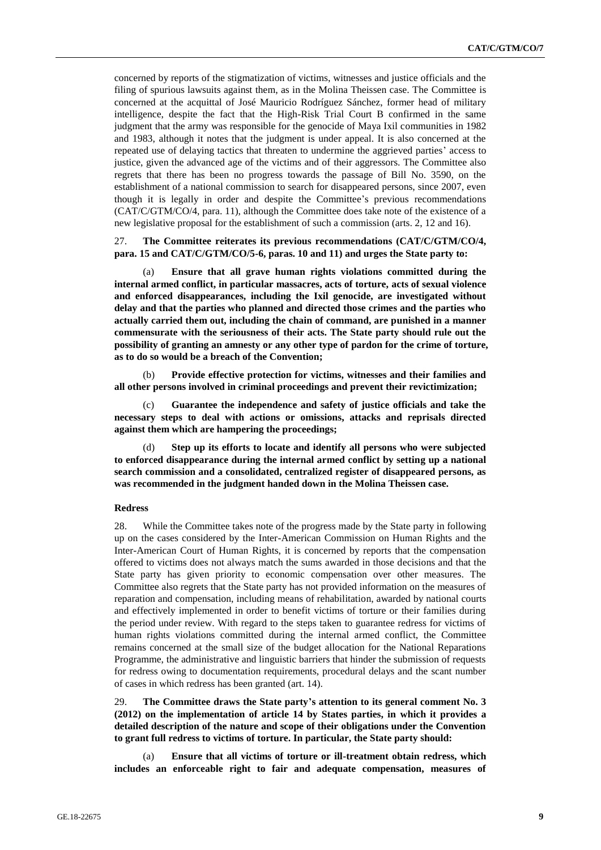concerned by reports of the stigmatization of victims, witnesses and justice officials and the filing of spurious lawsuits against them, as in the Molina Theissen case. The Committee is concerned at the acquittal of José Mauricio Rodríguez Sánchez, former head of military intelligence, despite the fact that the High-Risk Trial Court B confirmed in the same judgment that the army was responsible for the genocide of Maya Ixil communities in 1982 and 1983, although it notes that the judgment is under appeal. It is also concerned at the repeated use of delaying tactics that threaten to undermine the aggrieved parties' access to justice, given the advanced age of the victims and of their aggressors. The Committee also regrets that there has been no progress towards the passage of Bill No. 3590, on the establishment of a national commission to search for disappeared persons, since 2007, even though it is legally in order and despite the Committee's previous recommendations (CAT/C/GTM/CO/4, para. 11), although the Committee does take note of the existence of a new legislative proposal for the establishment of such a commission (arts. 2, 12 and 16).

### 27. **The Committee reiterates its previous recommendations (CAT/C/GTM/CO/4, para. 15 and CAT/C/GTM/CO/5-6, paras. 10 and 11) and urges the State party to:**

(a) **Ensure that all grave human rights violations committed during the internal armed conflict, in particular massacres, acts of torture, acts of sexual violence and enforced disappearances, including the Ixil genocide, are investigated without delay and that the parties who planned and directed those crimes and the parties who actually carried them out, including the chain of command, are punished in a manner commensurate with the seriousness of their acts. The State party should rule out the possibility of granting an amnesty or any other type of pardon for the crime of torture, as to do so would be a breach of the Convention;** 

(b) **Provide effective protection for victims, witnesses and their families and all other persons involved in criminal proceedings and prevent their revictimization;**

Guarantee the independence and safety of justice officials and take the **necessary steps to deal with actions or omissions, attacks and reprisals directed against them which are hampering the proceedings;**

Step up its efforts to locate and identify all persons who were subjected **to enforced disappearance during the internal armed conflict by setting up a national search commission and a consolidated, centralized register of disappeared persons, as was recommended in the judgment handed down in the Molina Theissen case.**

## **Redress**

28. While the Committee takes note of the progress made by the State party in following up on the cases considered by the Inter-American Commission on Human Rights and the Inter-American Court of Human Rights, it is concerned by reports that the compensation offered to victims does not always match the sums awarded in those decisions and that the State party has given priority to economic compensation over other measures. The Committee also regrets that the State party has not provided information on the measures of reparation and compensation, including means of rehabilitation, awarded by national courts and effectively implemented in order to benefit victims of torture or their families during the period under review. With regard to the steps taken to guarantee redress for victims of human rights violations committed during the internal armed conflict, the Committee remains concerned at the small size of the budget allocation for the National Reparations Programme, the administrative and linguistic barriers that hinder the submission of requests for redress owing to documentation requirements, procedural delays and the scant number of cases in which redress has been granted (art. 14).

29. **The Committee draws the State party's attention to its general comment No. 3 (2012) on the implementation of article 14 by States parties, in which it provides a detailed description of the nature and scope of their obligations under the Convention to grant full redress to victims of torture. In particular, the State party should:**

(a) **Ensure that all victims of torture or ill-treatment obtain redress, which includes an enforceable right to fair and adequate compensation, measures of**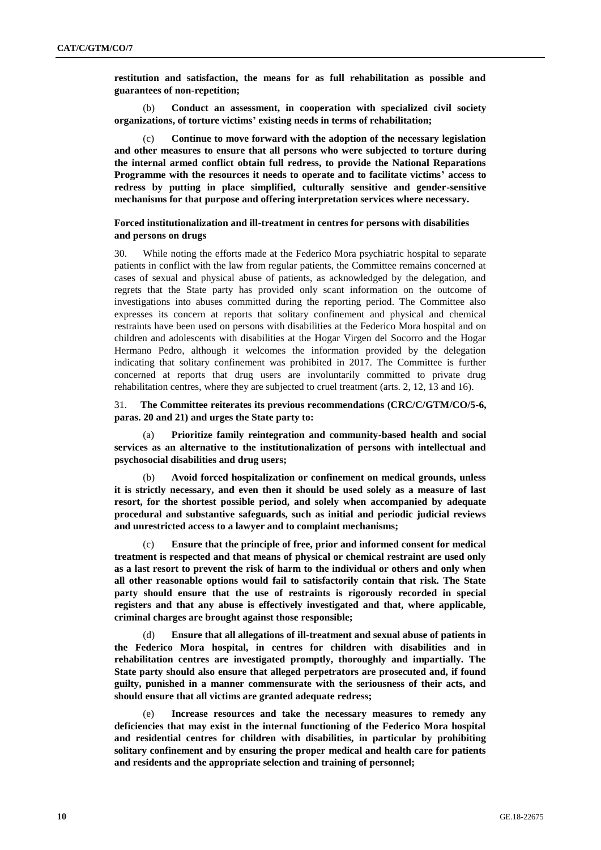**restitution and satisfaction, the means for as full rehabilitation as possible and guarantees of non-repetition;**

(b) **Conduct an assessment, in cooperation with specialized civil society organizations, of torture victims' existing needs in terms of rehabilitation;**

Continue to move forward with the adoption of the necessary legislation **and other measures to ensure that all persons who were subjected to torture during the internal armed conflict obtain full redress, to provide the National Reparations Programme with the resources it needs to operate and to facilitate victims' access to redress by putting in place simplified, culturally sensitive and gender-sensitive mechanisms for that purpose and offering interpretation services where necessary.**

### **Forced institutionalization and ill-treatment in centres for persons with disabilities and persons on drugs**

30. While noting the efforts made at the Federico Mora psychiatric hospital to separate patients in conflict with the law from regular patients, the Committee remains concerned at cases of sexual and physical abuse of patients, as acknowledged by the delegation, and regrets that the State party has provided only scant information on the outcome of investigations into abuses committed during the reporting period. The Committee also expresses its concern at reports that solitary confinement and physical and chemical restraints have been used on persons with disabilities at the Federico Mora hospital and on children and adolescents with disabilities at the Hogar Virgen del Socorro and the Hogar Hermano Pedro, although it welcomes the information provided by the delegation indicating that solitary confinement was prohibited in 2017. The Committee is further concerned at reports that drug users are involuntarily committed to private drug rehabilitation centres, where they are subjected to cruel treatment (arts. 2, 12, 13 and 16).

31. **The Committee reiterates its previous recommendations (CRC/C/GTM/CO/5-6, paras. 20 and 21) and urges the State party to:**

(a) **Prioritize family reintegration and community-based health and social services as an alternative to the institutionalization of persons with intellectual and psychosocial disabilities and drug users;**

(b) **Avoid forced hospitalization or confinement on medical grounds, unless it is strictly necessary, and even then it should be used solely as a measure of last resort, for the shortest possible period, and solely when accompanied by adequate procedural and substantive safeguards, such as initial and periodic judicial reviews and unrestricted access to a lawyer and to complaint mechanisms;**

(c) **Ensure that the principle of free, prior and informed consent for medical treatment is respected and that means of physical or chemical restraint are used only as a last resort to prevent the risk of harm to the individual or others and only when all other reasonable options would fail to satisfactorily contain that risk. The State party should ensure that the use of restraints is rigorously recorded in special registers and that any abuse is effectively investigated and that, where applicable, criminal charges are brought against those responsible;**

(d) **Ensure that all allegations of ill-treatment and sexual abuse of patients in the Federico Mora hospital, in centres for children with disabilities and in rehabilitation centres are investigated promptly, thoroughly and impartially. The State party should also ensure that alleged perpetrators are prosecuted and, if found guilty, punished in a manner commensurate with the seriousness of their acts, and should ensure that all victims are granted adequate redress;** 

(e) **Increase resources and take the necessary measures to remedy any deficiencies that may exist in the internal functioning of the Federico Mora hospital and residential centres for children with disabilities, in particular by prohibiting solitary confinement and by ensuring the proper medical and health care for patients and residents and the appropriate selection and training of personnel;**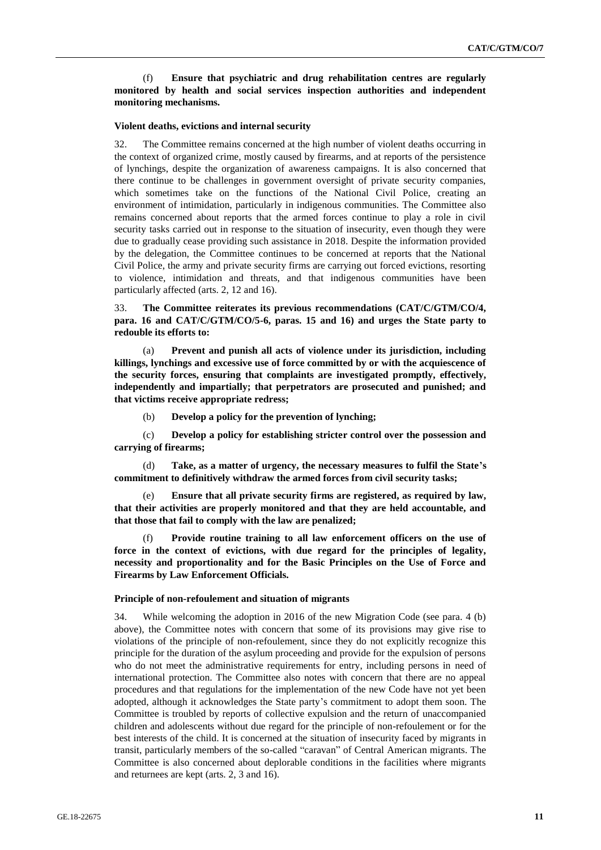(f) **Ensure that psychiatric and drug rehabilitation centres are regularly monitored by health and social services inspection authorities and independent monitoring mechanisms.** 

#### **Violent deaths, evictions and internal security**

32. The Committee remains concerned at the high number of violent deaths occurring in the context of organized crime, mostly caused by firearms, and at reports of the persistence of lynchings, despite the organization of awareness campaigns. It is also concerned that there continue to be challenges in government oversight of private security companies, which sometimes take on the functions of the National Civil Police, creating an environment of intimidation, particularly in indigenous communities. The Committee also remains concerned about reports that the armed forces continue to play a role in civil security tasks carried out in response to the situation of insecurity, even though they were due to gradually cease providing such assistance in 2018. Despite the information provided by the delegation, the Committee continues to be concerned at reports that the National Civil Police, the army and private security firms are carrying out forced evictions, resorting to violence, intimidation and threats, and that indigenous communities have been particularly affected (arts. 2, 12 and 16).

33. **The Committee reiterates its previous recommendations (CAT/C/GTM/CO/4, para. 16 and CAT/C/GTM/CO/5-6, paras. 15 and 16) and urges the State party to redouble its efforts to:**

(a) **Prevent and punish all acts of violence under its jurisdiction, including killings, lynchings and excessive use of force committed by or with the acquiescence of the security forces, ensuring that complaints are investigated promptly, effectively, independently and impartially; that perpetrators are prosecuted and punished; and that victims receive appropriate redress;**

(b) **Develop a policy for the prevention of lynching;**

(c) **Develop a policy for establishing stricter control over the possession and carrying of firearms;**

(d) **Take, as a matter of urgency, the necessary measures to fulfil the State's commitment to definitively withdraw the armed forces from civil security tasks;**

Ensure that all private security firms are registered, as required by law, **that their activities are properly monitored and that they are held accountable, and that those that fail to comply with the law are penalized;**

Provide routine training to all law enforcement officers on the use of **force in the context of evictions, with due regard for the principles of legality, necessity and proportionality and for the Basic Principles on the Use of Force and Firearms by Law Enforcement Officials.** 

#### **Principle of non-refoulement and situation of migrants**

34. While welcoming the adoption in 2016 of the new Migration Code (see para. 4 (b) above), the Committee notes with concern that some of its provisions may give rise to violations of the principle of non-refoulement, since they do not explicitly recognize this principle for the duration of the asylum proceeding and provide for the expulsion of persons who do not meet the administrative requirements for entry, including persons in need of international protection. The Committee also notes with concern that there are no appeal procedures and that regulations for the implementation of the new Code have not yet been adopted, although it acknowledges the State party's commitment to adopt them soon. The Committee is troubled by reports of collective expulsion and the return of unaccompanied children and adolescents without due regard for the principle of non-refoulement or for the best interests of the child. It is concerned at the situation of insecurity faced by migrants in transit, particularly members of the so-called "caravan" of Central American migrants. The Committee is also concerned about deplorable conditions in the facilities where migrants and returnees are kept (arts. 2, 3 and 16).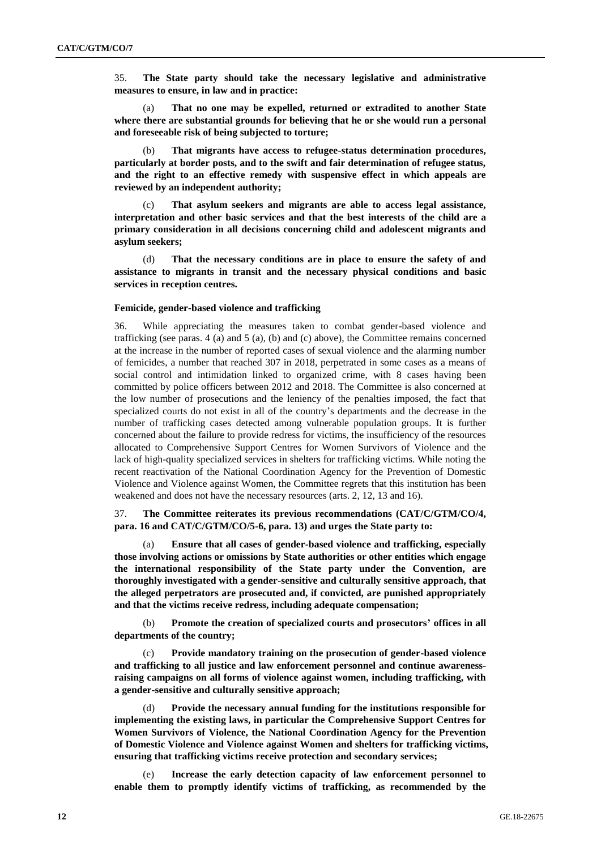35. **The State party should take the necessary legislative and administrative measures to ensure, in law and in practice:** 

(a) **That no one may be expelled, returned or extradited to another State where there are substantial grounds for believing that he or she would run a personal and foreseeable risk of being subjected to torture;**

(b) **That migrants have access to refugee-status determination procedures, particularly at border posts, and to the swift and fair determination of refugee status, and the right to an effective remedy with suspensive effect in which appeals are reviewed by an independent authority;** 

(c) **That asylum seekers and migrants are able to access legal assistance, interpretation and other basic services and that the best interests of the child are a primary consideration in all decisions concerning child and adolescent migrants and asylum seekers;**

(d) **That the necessary conditions are in place to ensure the safety of and assistance to migrants in transit and the necessary physical conditions and basic services in reception centres.** 

#### **Femicide, gender-based violence and trafficking**

36. While appreciating the measures taken to combat gender-based violence and trafficking (see paras. 4 (a) and 5 (a), (b) and (c) above), the Committee remains concerned at the increase in the number of reported cases of sexual violence and the alarming number of femicides, a number that reached 307 in 2018, perpetrated in some cases as a means of social control and intimidation linked to organized crime, with 8 cases having been committed by police officers between 2012 and 2018. The Committee is also concerned at the low number of prosecutions and the leniency of the penalties imposed, the fact that specialized courts do not exist in all of the country's departments and the decrease in the number of trafficking cases detected among vulnerable population groups. It is further concerned about the failure to provide redress for victims, the insufficiency of the resources allocated to Comprehensive Support Centres for Women Survivors of Violence and the lack of high-quality specialized services in shelters for trafficking victims. While noting the recent reactivation of the National Coordination Agency for the Prevention of Domestic Violence and Violence against Women, the Committee regrets that this institution has been weakened and does not have the necessary resources (arts. 2, 12, 13 and 16).

## 37. **The Committee reiterates its previous recommendations (CAT/C/GTM/CO/4, para. 16 and CAT/C/GTM/CO/5-6, para. 13) and urges the State party to:**

(a) **Ensure that all cases of gender-based violence and trafficking, especially those involving actions or omissions by State authorities or other entities which engage the international responsibility of the State party under the Convention, are thoroughly investigated with a gender-sensitive and culturally sensitive approach, that the alleged perpetrators are prosecuted and, if convicted, are punished appropriately and that the victims receive redress, including adequate compensation;**

(b) **Promote the creation of specialized courts and prosecutors' offices in all departments of the country;**

Provide mandatory training on the prosecution of gender-based violence **and trafficking to all justice and law enforcement personnel and continue awarenessraising campaigns on all forms of violence against women, including trafficking, with a gender-sensitive and culturally sensitive approach;**

(d) **Provide the necessary annual funding for the institutions responsible for implementing the existing laws, in particular the Comprehensive Support Centres for Women Survivors of Violence, the National Coordination Agency for the Prevention of Domestic Violence and Violence against Women and shelters for trafficking victims, ensuring that trafficking victims receive protection and secondary services;**

(e) **Increase the early detection capacity of law enforcement personnel to enable them to promptly identify victims of trafficking, as recommended by the**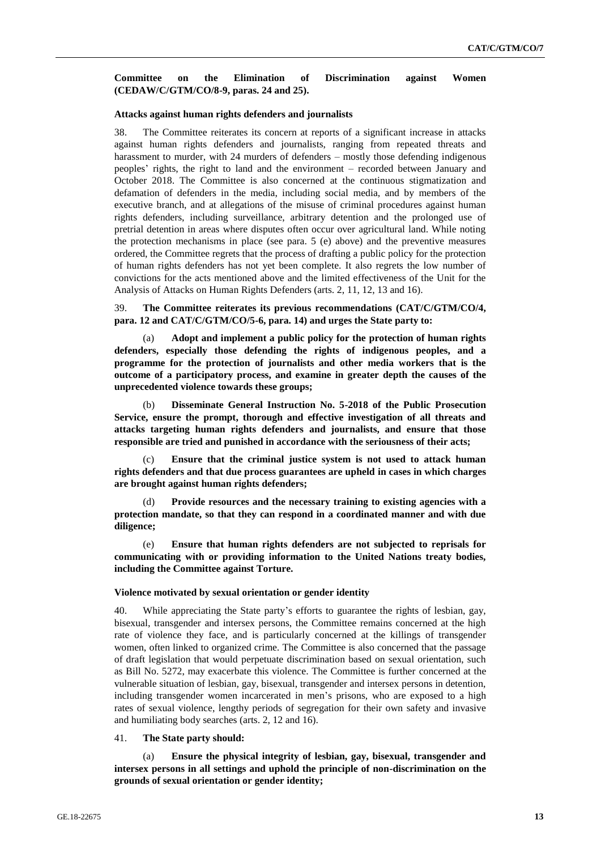#### **Committee on the Elimination of Discrimination against Women (CEDAW/C/GTM/CO/8-9, paras. 24 and 25).**

#### **Attacks against human rights defenders and journalists**

38. The Committee reiterates its concern at reports of a significant increase in attacks against human rights defenders and journalists, ranging from repeated threats and harassment to murder, with 24 murders of defenders – mostly those defending indigenous peoples' rights, the right to land and the environment – recorded between January and October 2018. The Committee is also concerned at the continuous stigmatization and defamation of defenders in the media, including social media, and by members of the executive branch, and at allegations of the misuse of criminal procedures against human rights defenders, including surveillance, arbitrary detention and the prolonged use of pretrial detention in areas where disputes often occur over agricultural land. While noting the protection mechanisms in place (see para. 5 (e) above) and the preventive measures ordered, the Committee regrets that the process of drafting a public policy for the protection of human rights defenders has not yet been complete. It also regrets the low number of convictions for the acts mentioned above and the limited effectiveness of the Unit for the Analysis of Attacks on Human Rights Defenders (arts. 2, 11, 12, 13 and 16).

39. **The Committee reiterates its previous recommendations (CAT/C/GTM/CO/4, para. 12 and CAT/C/GTM/CO/5-6, para. 14) and urges the State party to:**

(a) **Adopt and implement a public policy for the protection of human rights defenders, especially those defending the rights of indigenous peoples, and a programme for the protection of journalists and other media workers that is the outcome of a participatory process, and examine in greater depth the causes of the unprecedented violence towards these groups;**

(b) **Disseminate General Instruction No. 5-2018 of the Public Prosecution Service, ensure the prompt, thorough and effective investigation of all threats and attacks targeting human rights defenders and journalists, and ensure that those responsible are tried and punished in accordance with the seriousness of their acts;**

(c) **Ensure that the criminal justice system is not used to attack human rights defenders and that due process guarantees are upheld in cases in which charges are brought against human rights defenders;**

(d) **Provide resources and the necessary training to existing agencies with a protection mandate, so that they can respond in a coordinated manner and with due diligence;**

(e) **Ensure that human rights defenders are not subjected to reprisals for communicating with or providing information to the United Nations treaty bodies, including the Committee against Torture.** 

#### **Violence motivated by sexual orientation or gender identity**

40. While appreciating the State party's efforts to guarantee the rights of lesbian, gay, bisexual, transgender and intersex persons, the Committee remains concerned at the high rate of violence they face, and is particularly concerned at the killings of transgender women, often linked to organized crime. The Committee is also concerned that the passage of draft legislation that would perpetuate discrimination based on sexual orientation, such as Bill No. 5272, may exacerbate this violence. The Committee is further concerned at the vulnerable situation of lesbian, gay, bisexual, transgender and intersex persons in detention, including transgender women incarcerated in men's prisons, who are exposed to a high rates of sexual violence, lengthy periods of segregation for their own safety and invasive and humiliating body searches (arts. 2, 12 and 16).

#### 41. **The State party should:**

(a) **Ensure the physical integrity of lesbian, gay, bisexual, transgender and intersex persons in all settings and uphold the principle of non-discrimination on the grounds of sexual orientation or gender identity;**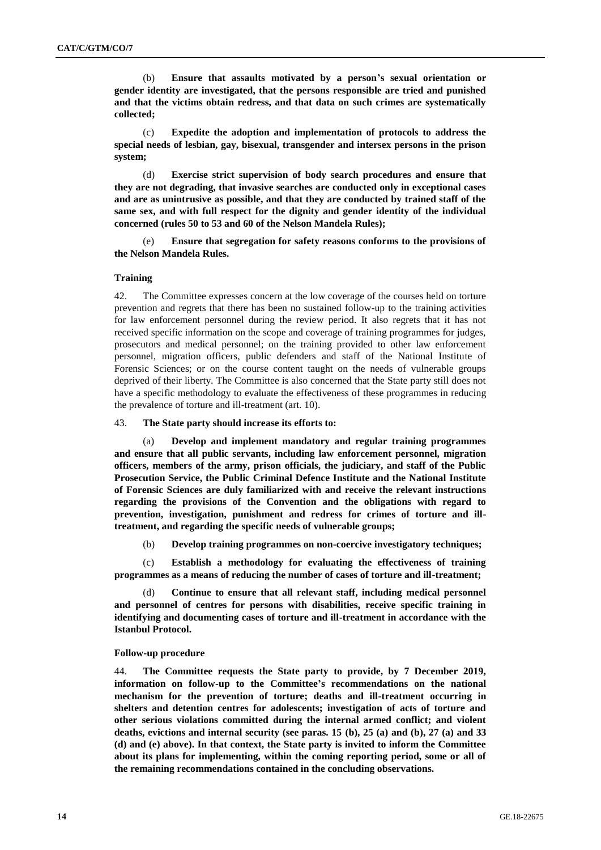(b) **Ensure that assaults motivated by a person's sexual orientation or gender identity are investigated, that the persons responsible are tried and punished and that the victims obtain redress, and that data on such crimes are systematically collected;**

(c) **Expedite the adoption and implementation of protocols to address the special needs of lesbian, gay, bisexual, transgender and intersex persons in the prison system;**

(d) **Exercise strict supervision of body search procedures and ensure that they are not degrading, that invasive searches are conducted only in exceptional cases and are as unintrusive as possible, and that they are conducted by trained staff of the same sex, and with full respect for the dignity and gender identity of the individual concerned (rules 50 to 53 and 60 of the Nelson Mandela Rules);**

(e) **Ensure that segregation for safety reasons conforms to the provisions of the Nelson Mandela Rules.** 

#### **Training**

42. The Committee expresses concern at the low coverage of the courses held on torture prevention and regrets that there has been no sustained follow-up to the training activities for law enforcement personnel during the review period. It also regrets that it has not received specific information on the scope and coverage of training programmes for judges, prosecutors and medical personnel; on the training provided to other law enforcement personnel, migration officers, public defenders and staff of the National Institute of Forensic Sciences; or on the course content taught on the needs of vulnerable groups deprived of their liberty. The Committee is also concerned that the State party still does not have a specific methodology to evaluate the effectiveness of these programmes in reducing the prevalence of torture and ill-treatment (art. 10).

#### 43. **The State party should increase its efforts to:**

(a) **Develop and implement mandatory and regular training programmes and ensure that all public servants, including law enforcement personnel, migration officers, members of the army, prison officials, the judiciary, and staff of the Public Prosecution Service, the Public Criminal Defence Institute and the National Institute of Forensic Sciences are duly familiarized with and receive the relevant instructions regarding the provisions of the Convention and the obligations with regard to prevention, investigation, punishment and redress for crimes of torture and illtreatment, and regarding the specific needs of vulnerable groups;**

(b) **Develop training programmes on non-coercive investigatory techniques;**

(c) **Establish a methodology for evaluating the effectiveness of training programmes as a means of reducing the number of cases of torture and ill-treatment;**

(d) **Continue to ensure that all relevant staff, including medical personnel and personnel of centres for persons with disabilities, receive specific training in identifying and documenting cases of torture and ill-treatment in accordance with the Istanbul Protocol.**

#### **Follow-up procedure**

44. **The Committee requests the State party to provide, by 7 December 2019, information on follow-up to the Committee's recommendations on the national mechanism for the prevention of torture; deaths and ill-treatment occurring in shelters and detention centres for adolescents; investigation of acts of torture and other serious violations committed during the internal armed conflict; and violent deaths, evictions and internal security (see paras. 15 (b), 25 (a) and (b), 27 (a) and 33 (d) and (e) above). In that context, the State party is invited to inform the Committee about its plans for implementing, within the coming reporting period, some or all of the remaining recommendations contained in the concluding observations.**